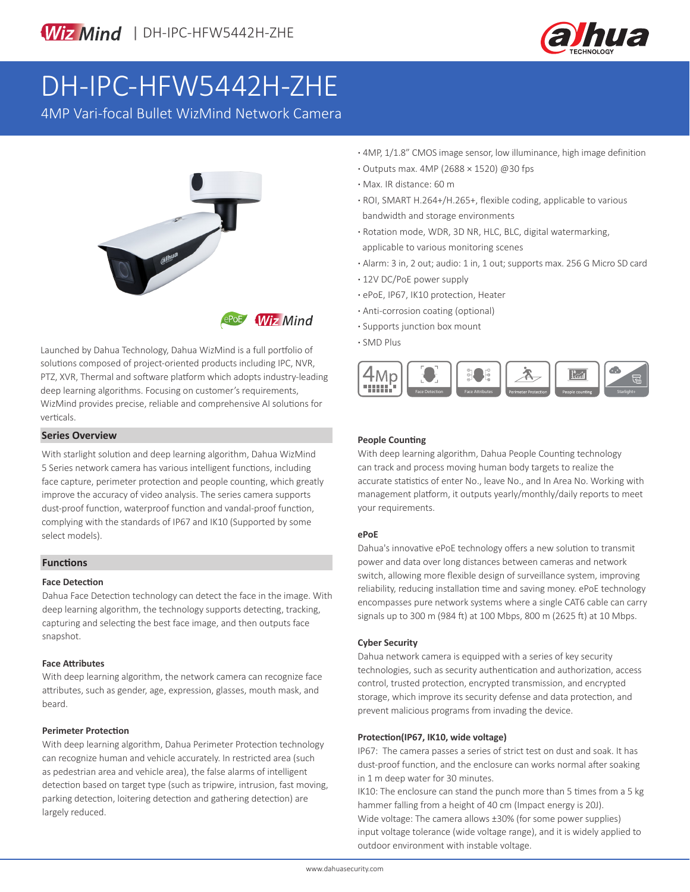



# DH-IPC-HFW5442H-ZHE

4MP Vari-focal Bullet WizMind Network Camera



Launched by Dahua Technology, Dahua WizMind is a full portfolio of solutions composed of project-oriented products including IPC, NVR, PTZ, XVR, Thermal and software platform which adopts industry-leading deep learning algorithms. Focusing on customer's requirements, WizMind provides precise, reliable and comprehensive AI solutions for verticals.

### **Series Overview**

With starlight solution and deep learning algorithm, Dahua WizMind 5 Series network camera has various intelligent functions, including face capture, perimeter protection and people counting, which greatly improve the accuracy of video analysis. The series camera supports dust-proof function, waterproof function and vandal-proof function, complying with the standards of IP67 and IK10 (Supported by some select models).

### **Functions**

### **Face Detection**

Dahua Face Detection technology can detect the face in the image. With deep learning algorithm, the technology supports detecting, tracking, capturing and selecting the best face image, and then outputs face snapshot.

### **Face Attributes**

With deep learning algorithm, the network camera can recognize face attributes, such as gender, age, expression, glasses, mouth mask, and beard.

### **Perimeter Protection**

With deep learning algorithm, Dahua Perimeter Protection technology can recognize human and vehicle accurately. In restricted area (such as pedestrian area and vehicle area), the false alarms of intelligent detection based on target type (such as tripwire, intrusion, fast moving, parking detection, loitering detection and gathering detection) are largely reduced.

- **·** 4MP, 1/1.8" CMOS image sensor, low illuminance, high image definition
- **·** Outputs max. 4MP (2688 × 1520) @30 fps
- **·** Max. IR distance: 60 m
- **·** ROI, SMART H.264+/H.265+, flexible coding, applicable to various bandwidth and storage environments
- **·** Rotation mode, WDR, 3D NR, HLC, BLC, digital watermarking, applicable to various monitoring scenes
- **·** Alarm: 3 in, 2 out; audio: 1 in, 1 out; supports max. 256 G Micro SD card
- **·** 12V DC/PoE power supply
- **·** ePoE, IP67, IK10 protection, Heater
- **·** Anti-corrosion coating (optional)
- **·** Supports junction box mount
- **·** SMD Plus



### **People Counting**

With deep learning algorithm, Dahua People Counting technology can track and process moving human body targets to realize the accurate statistics of enter No., leave No., and In Area No. Working with management platform, it outputs yearly/monthly/daily reports to meet your requirements.

### **ePoE**

Dahua's innovative ePoE technology offers a new solution to transmit power and data over long distances between cameras and network switch, allowing more flexible design of surveillance system, improving reliability, reducing installation time and saving money. ePoE technology encompasses pure network systems where a single CAT6 cable can carry signals up to 300 m (984 ft) at 100 Mbps, 800 m (2625 ft) at 10 Mbps.

### **Cyber Security**

Dahua network camera is equipped with a series of key security technologies, such as security authentication and authorization, access control, trusted protection, encrypted transmission, and encrypted storage, which improve its security defense and data protection, and prevent malicious programs from invading the device.

### **Protection(IP67, IK10, wide voltage)**

IP67: The camera passes a series of strict test on dust and soak. It has dust-proof function, and the enclosure can works normal after soaking in 1 m deep water for 30 minutes.

IK10: The enclosure can stand the punch more than 5 times from a 5 kg hammer falling from a height of 40 cm (Impact energy is 20J). Wide voltage: The camera allows ±30% (for some power supplies) input voltage tolerance (wide voltage range), and it is widely applied to outdoor environment with instable voltage.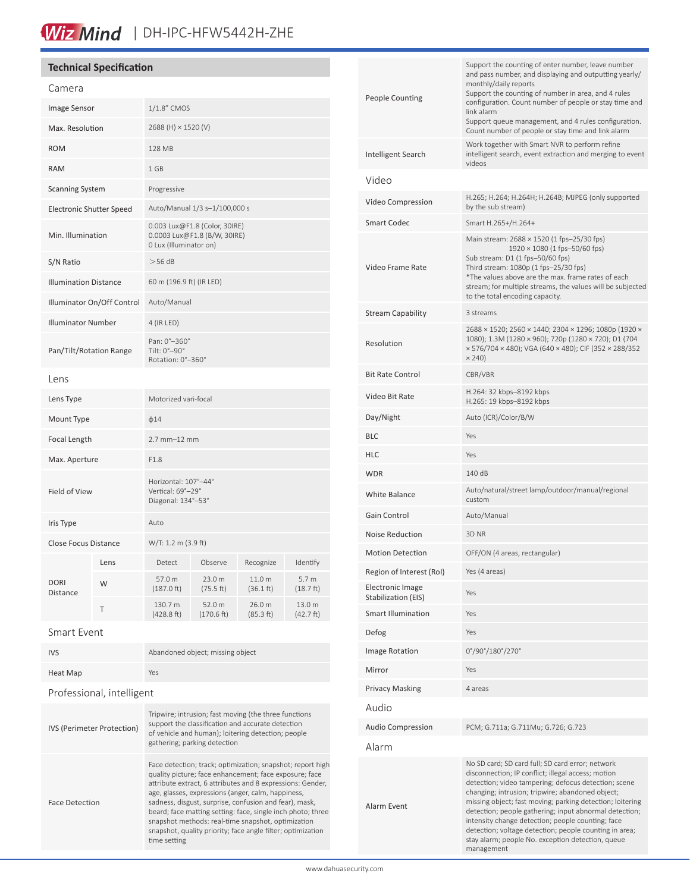# Wiz Mind | DH-IPC-HFW5442H-ZHE

# **Technical Specification**

| Camera                          |      |                                                                                         |                      |                               |                     |
|---------------------------------|------|-----------------------------------------------------------------------------------------|----------------------|-------------------------------|---------------------|
| Image Sensor                    |      | 1/1.8" CMOS                                                                             |                      |                               |                     |
| Max. Resolution                 |      | 2688 (H) × 1520 (V)                                                                     |                      |                               |                     |
| <b>ROM</b>                      |      | 128 MB                                                                                  |                      |                               |                     |
| <b>RAM</b>                      |      | 1 GB                                                                                    |                      |                               |                     |
| <b>Scanning System</b>          |      | Progressive                                                                             |                      |                               |                     |
| <b>Electronic Shutter Speed</b> |      | Auto/Manual 1/3 s-1/100,000 s                                                           |                      |                               |                     |
| Min. Illumination               |      | 0.003 Lux@F1.8 (Color, 30IRE)<br>0.0003 Lux@F1.8 (B/W, 30IRE)<br>0 Lux (Illuminator on) |                      |                               |                     |
| S/N Ratio                       |      | $>56$ dB                                                                                |                      |                               |                     |
| <b>Illumination Distance</b>    |      | 60 m (196.9 ft) (IR LED)                                                                |                      |                               |                     |
| Illuminator On/Off Control      |      | Auto/Manual                                                                             |                      |                               |                     |
| <b>Illuminator Number</b>       |      | 4 (IR LED)                                                                              |                      |                               |                     |
| Pan/Tilt/Rotation Range         |      | Pan: 0°-360°<br>Tilt: 0°-90°<br>Rotation: 0°-360°                                       |                      |                               |                     |
| Lens                            |      |                                                                                         |                      |                               |                     |
| Lens Type                       |      | Motorized vari-focal                                                                    |                      |                               |                     |
| Mount Type                      |      | $\phi$ 14                                                                               |                      |                               |                     |
| Focal Length                    |      | 2.7 mm-12 mm                                                                            |                      |                               |                     |
| Max. Aperture                   |      | F1.8                                                                                    |                      |                               |                     |
| Field of View                   |      | Horizontal: 107°-44°<br>Vertical: 69°-29°<br>Diagonal: 134°-53°                         |                      |                               |                     |
| Iris Type                       |      | Auto                                                                                    |                      |                               |                     |
| <b>Close Focus Distance</b>     |      | W/T: 1.2 m (3.9 ft)                                                                     |                      |                               |                     |
| <b>DORI</b><br>Distance         | Lens | Detect                                                                                  | Observe              | Recognize                     | Identify            |
|                                 | W    | 57.0 m<br>$(187.0)$ ft)                                                                 | 23.0 m<br>(75.5 ft)  | 11.0 m<br>$(36.1 \text{ ft})$ | 5.7 m<br>(18.7 ft)  |
|                                 | T    | 130.7 m<br>(428.8 ft)                                                                   | 52.0 m<br>(170.6 ft) | 26.0 m<br>(85.3 ft)           | 13.0 m<br>(42.7 ft) |
|                                 |      |                                                                                         |                      |                               |                     |

Smart Event

| <b>IVS</b> | Abandoned object; missing object |
|------------|----------------------------------|
| Heat Map   | Yes                              |

## Professional, intelligent

| <b>IVS (Perimeter Protection)</b> | Tripwire; intrusion; fast moving (the three functions<br>support the classification and accurate detection<br>of vehicle and human); loitering detection; people<br>gathering; parking detection                                                                                                                                                                                                                                                                                                       |
|-----------------------------------|--------------------------------------------------------------------------------------------------------------------------------------------------------------------------------------------------------------------------------------------------------------------------------------------------------------------------------------------------------------------------------------------------------------------------------------------------------------------------------------------------------|
| <b>Face Detection</b>             | Face detection; track; optimization; snapshot; report high<br>quality picture; face enhancement; face exposure; face<br>attribute extract, 6 attributes and 8 expressions: Gender,<br>age, glasses, expressions (anger, calm, happiness,<br>sadness, disgust, surprise, confusion and fear), mask,<br>beard; face matting setting: face, single inch photo; three<br>snapshot methods: real-time snapshot, optimization<br>snapshot, quality priority; face angle filter; optimization<br>time setting |

| <b>People Counting</b>                  | Support the counting of enter number, leave number<br>and pass number, and displaying and outputting yearly/<br>monthly/daily reports<br>Support the counting of number in area, and 4 rules<br>configuration. Count number of people or stay time and<br>link alarm<br>Support queue management, and 4 rules configuration.<br>Count number of people or stay time and link alarm                                                                                                                                          |  |  |
|-----------------------------------------|-----------------------------------------------------------------------------------------------------------------------------------------------------------------------------------------------------------------------------------------------------------------------------------------------------------------------------------------------------------------------------------------------------------------------------------------------------------------------------------------------------------------------------|--|--|
| Intelligent Search                      | Work together with Smart NVR to perform refine<br>intelligent search, event extraction and merging to event<br>videos                                                                                                                                                                                                                                                                                                                                                                                                       |  |  |
| Video                                   |                                                                                                                                                                                                                                                                                                                                                                                                                                                                                                                             |  |  |
| Video Compression                       | H.265; H.264; H.264H; H.264B; MJPEG (only supported<br>by the sub stream)                                                                                                                                                                                                                                                                                                                                                                                                                                                   |  |  |
| <b>Smart Codec</b>                      | Smart H.265+/H.264+                                                                                                                                                                                                                                                                                                                                                                                                                                                                                                         |  |  |
| Video Frame Rate                        | Main stream: 2688 × 1520 (1 fps-25/30 fps)<br>1920 × 1080 (1 fps-50/60 fps)<br>Sub stream: D1 (1 fps-50/60 fps)<br>Third stream: 1080p (1 fps-25/30 fps)<br>*The values above are the max. frame rates of each<br>stream; for multiple streams, the values will be subjected<br>to the total encoding capacity.                                                                                                                                                                                                             |  |  |
| <b>Stream Capability</b>                | 3 streams                                                                                                                                                                                                                                                                                                                                                                                                                                                                                                                   |  |  |
| Resolution                              | 2688 × 1520; 2560 × 1440; 2304 × 1296; 1080p (1920 ×<br>1080); 1.3M (1280 × 960); 720p (1280 × 720); D1 (704<br>× 576/704 × 480); VGA (640 × 480); CIF (352 × 288/352<br>$\times$ 240)                                                                                                                                                                                                                                                                                                                                      |  |  |
| <b>Bit Rate Control</b>                 | CBR/VBR                                                                                                                                                                                                                                                                                                                                                                                                                                                                                                                     |  |  |
| Video Bit Rate                          | H.264: 32 kbps–8192 kbps<br>H.265: 19 kbps-8192 kbps                                                                                                                                                                                                                                                                                                                                                                                                                                                                        |  |  |
| Day/Night                               | Auto (ICR)/Color/B/W                                                                                                                                                                                                                                                                                                                                                                                                                                                                                                        |  |  |
| <b>BLC</b>                              | Yes                                                                                                                                                                                                                                                                                                                                                                                                                                                                                                                         |  |  |
| <b>HLC</b>                              | Yes                                                                                                                                                                                                                                                                                                                                                                                                                                                                                                                         |  |  |
| <b>WDR</b>                              | 140 dB                                                                                                                                                                                                                                                                                                                                                                                                                                                                                                                      |  |  |
| White Balance                           | Auto/natural/street lamp/outdoor/manual/regional<br>custom                                                                                                                                                                                                                                                                                                                                                                                                                                                                  |  |  |
| Gain Control                            | Auto/Manual                                                                                                                                                                                                                                                                                                                                                                                                                                                                                                                 |  |  |
| <b>Noise Reduction</b>                  | 3D NR                                                                                                                                                                                                                                                                                                                                                                                                                                                                                                                       |  |  |
| <b>Motion Detection</b>                 | OFF/ON (4 areas, rectangular)                                                                                                                                                                                                                                                                                                                                                                                                                                                                                               |  |  |
| Region of Interest (RoI)                | Yes (4 areas)                                                                                                                                                                                                                                                                                                                                                                                                                                                                                                               |  |  |
| Electronic Image<br>Stabilization (EIS) | Yes                                                                                                                                                                                                                                                                                                                                                                                                                                                                                                                         |  |  |
| <b>Smart Illumination</b>               | Yes                                                                                                                                                                                                                                                                                                                                                                                                                                                                                                                         |  |  |
| Defog                                   | Yes                                                                                                                                                                                                                                                                                                                                                                                                                                                                                                                         |  |  |
| Image Rotation                          | 0°/90°/180°/270°                                                                                                                                                                                                                                                                                                                                                                                                                                                                                                            |  |  |
| Mirror                                  | Yes                                                                                                                                                                                                                                                                                                                                                                                                                                                                                                                         |  |  |
| <b>Privacy Masking</b>                  | 4 areas                                                                                                                                                                                                                                                                                                                                                                                                                                                                                                                     |  |  |
| Audio                                   |                                                                                                                                                                                                                                                                                                                                                                                                                                                                                                                             |  |  |
| <b>Audio Compression</b>                | PCM; G.711a; G.711Mu; G.726; G.723                                                                                                                                                                                                                                                                                                                                                                                                                                                                                          |  |  |
| Alarm                                   |                                                                                                                                                                                                                                                                                                                                                                                                                                                                                                                             |  |  |
| Alarm Event                             | No SD card; SD card full; SD card error; network<br>disconnection; IP conflict; illegal access; motion<br>detection; video tampering; defocus detection; scene<br>changing; intrusion; tripwire; abandoned object;<br>missing object; fast moving; parking detection; loitering<br>detection; people gathering; input abnormal detection;<br>intensity change detection; people counting; face<br>detection; voltage detection; people counting in area;<br>stay alarm; people No. exception detection, queue<br>management |  |  |